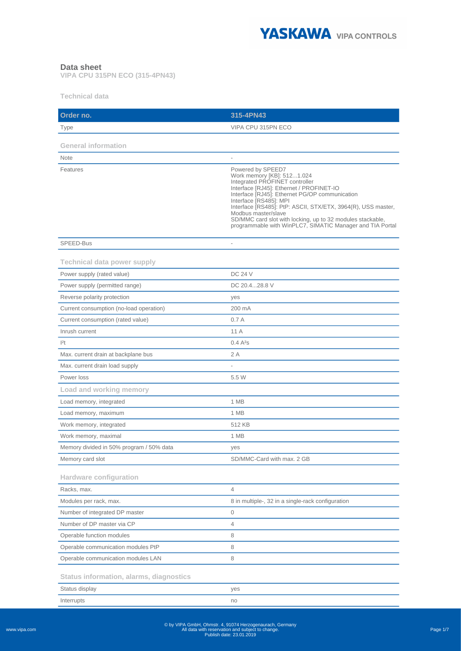

## **Data sheet**

**VIPA CPU 315PN ECO (315-4PN43)**

**Technical data**

| Order no.                                      | 315-4PN43                                                                                                                                                                                                                                                                                                                                                                                                                   |
|------------------------------------------------|-----------------------------------------------------------------------------------------------------------------------------------------------------------------------------------------------------------------------------------------------------------------------------------------------------------------------------------------------------------------------------------------------------------------------------|
| Type                                           | VIPA CPU 315PN ECO                                                                                                                                                                                                                                                                                                                                                                                                          |
|                                                |                                                                                                                                                                                                                                                                                                                                                                                                                             |
| <b>General information</b>                     |                                                                                                                                                                                                                                                                                                                                                                                                                             |
| <b>Note</b>                                    |                                                                                                                                                                                                                                                                                                                                                                                                                             |
| Features                                       | Powered by SPEED7<br>Work memory [KB]: 5121.024<br>Integrated PROFINET controller<br>Interface [RJ45]: Ethernet / PROFINET-IO<br>Interface [RJ45]: Ethernet PG/OP communication<br>Interface [RS485]: MPI<br>Interface [RS485]: PtP: ASCII, STX/ETX, 3964(R), USS master,<br>Modbus master/slave<br>SD/MMC card slot with locking, up to 32 modules stackable,<br>programmable with WinPLC7, SIMATIC Manager and TIA Portal |
| SPEED-Bus                                      |                                                                                                                                                                                                                                                                                                                                                                                                                             |
| <b>Technical data power supply</b>             |                                                                                                                                                                                                                                                                                                                                                                                                                             |
| Power supply (rated value)                     | <b>DC 24 V</b>                                                                                                                                                                                                                                                                                                                                                                                                              |
| Power supply (permitted range)                 | DC 20.428.8 V                                                                                                                                                                                                                                                                                                                                                                                                               |
| Reverse polarity protection                    | yes                                                                                                                                                                                                                                                                                                                                                                                                                         |
| Current consumption (no-load operation)        | 200 mA                                                                                                                                                                                                                                                                                                                                                                                                                      |
| Current consumption (rated value)              | 0.7A                                                                                                                                                                                                                                                                                                                                                                                                                        |
| Inrush current                                 | 11 A                                                                                                                                                                                                                                                                                                                                                                                                                        |
| 2t                                             | 0.4A <sup>2</sup> S                                                                                                                                                                                                                                                                                                                                                                                                         |
| Max. current drain at backplane bus            | 2 A                                                                                                                                                                                                                                                                                                                                                                                                                         |
| Max. current drain load supply                 |                                                                                                                                                                                                                                                                                                                                                                                                                             |
| Power loss                                     | 5.5 W                                                                                                                                                                                                                                                                                                                                                                                                                       |
| Load and working memory                        |                                                                                                                                                                                                                                                                                                                                                                                                                             |
| Load memory, integrated                        | 1 MB                                                                                                                                                                                                                                                                                                                                                                                                                        |
| Load memory, maximum                           | 1 MB                                                                                                                                                                                                                                                                                                                                                                                                                        |
| Work memory, integrated                        | 512 KB                                                                                                                                                                                                                                                                                                                                                                                                                      |
| Work memory, maximal                           | 1 MB                                                                                                                                                                                                                                                                                                                                                                                                                        |
| Memory divided in 50% program / 50% data       | yes                                                                                                                                                                                                                                                                                                                                                                                                                         |
| Memory card slot                               | SD/MMC-Card with max. 2 GB                                                                                                                                                                                                                                                                                                                                                                                                  |
| <b>Hardware configuration</b>                  |                                                                                                                                                                                                                                                                                                                                                                                                                             |
| Racks, max.                                    | $\overline{4}$                                                                                                                                                                                                                                                                                                                                                                                                              |
| Modules per rack, max.                         | 8 in multiple-, 32 in a single-rack configuration                                                                                                                                                                                                                                                                                                                                                                           |
| Number of integrated DP master                 | 0                                                                                                                                                                                                                                                                                                                                                                                                                           |
| Number of DP master via CP                     | 4                                                                                                                                                                                                                                                                                                                                                                                                                           |
| Operable function modules                      | 8                                                                                                                                                                                                                                                                                                                                                                                                                           |
| Operable communication modules PtP             | 8                                                                                                                                                                                                                                                                                                                                                                                                                           |
| Operable communication modules LAN             | 8                                                                                                                                                                                                                                                                                                                                                                                                                           |
| <b>Status information, alarms, diagnostics</b> |                                                                                                                                                                                                                                                                                                                                                                                                                             |
| Status display                                 | yes                                                                                                                                                                                                                                                                                                                                                                                                                         |
| Interrupts                                     | no                                                                                                                                                                                                                                                                                                                                                                                                                          |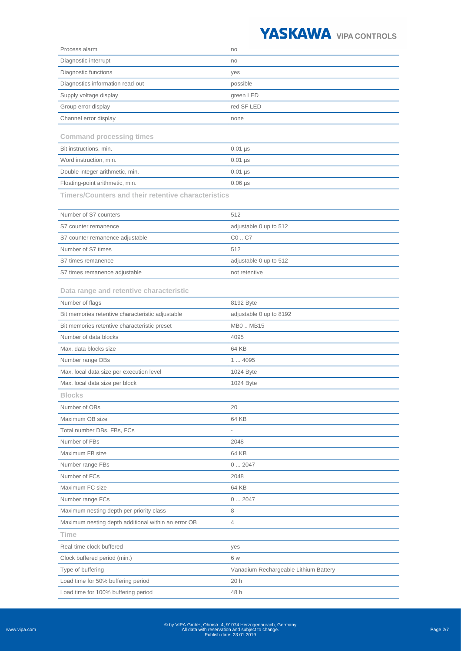

|                                                         | no                                           |
|---------------------------------------------------------|----------------------------------------------|
| Diagnostic interrupt                                    | no                                           |
| Diagnostic functions                                    | yes                                          |
| Diagnostics information read-out                        | possible                                     |
| Supply voltage display                                  | green LED                                    |
| Group error display                                     | red SF LED                                   |
| Channel error display                                   | none                                         |
| <b>Command processing times</b>                         |                                              |
| Bit instructions, min.                                  | $0.01$ µs                                    |
| Word instruction, min.                                  | $0.01$ µs                                    |
| Double integer arithmetic, min.                         | $0.01$ µs                                    |
| Floating-point arithmetic, min.                         | $0.06$ $\mu$ s                               |
|                                                         |                                              |
| Timers/Counters and their retentive characteristics     |                                              |
| Number of S7 counters                                   | 512                                          |
| S7 counter remanence                                    | adjustable 0 up to 512                       |
| S7 counter remanence adjustable                         | C0C7                                         |
| Number of S7 times                                      | 512                                          |
| S7 times remanence                                      | adjustable 0 up to 512                       |
| S7 times remanence adjustable                           | not retentive                                |
| Data range and retentive characteristic                 |                                              |
| Number of flags                                         | 8192 Byte                                    |
| Bit memories retentive characteristic adjustable        | adjustable 0 up to 8192                      |
| Bit memories retentive characteristic preset            | MB0MB15                                      |
| Number of data blocks                                   | 4095                                         |
| Max. data blocks size                                   | 64 KB                                        |
| Number range DBs                                        | 14095                                        |
|                                                         |                                              |
|                                                         |                                              |
| Max. local data size per execution level                | 1024 Byte                                    |
| Max. local data size per block                          | 1024 Byte                                    |
| <b>Blocks</b>                                           |                                              |
| Number of OBs                                           | 20                                           |
| Maximum OB size                                         | 64 KB                                        |
| Total number DBs, FBs, FCs                              |                                              |
| Number of FBs                                           | 2048                                         |
| Maximum FB size                                         | 64 KB                                        |
| Number range FBs                                        | 02047                                        |
| Number of FCs                                           | 2048                                         |
| Maximum FC size                                         | 64 KB                                        |
| Number range FCs                                        | 02047                                        |
| Maximum nesting depth per priority class                | 8                                            |
| Maximum nesting depth additional within an error OB     | 4                                            |
| <b>Time</b>                                             |                                              |
| Real-time clock buffered                                | yes<br>6 w                                   |
| Clock buffered period (min.)                            |                                              |
| Type of buffering<br>Load time for 50% buffering period | Vanadium Rechargeable Lithium Battery<br>20h |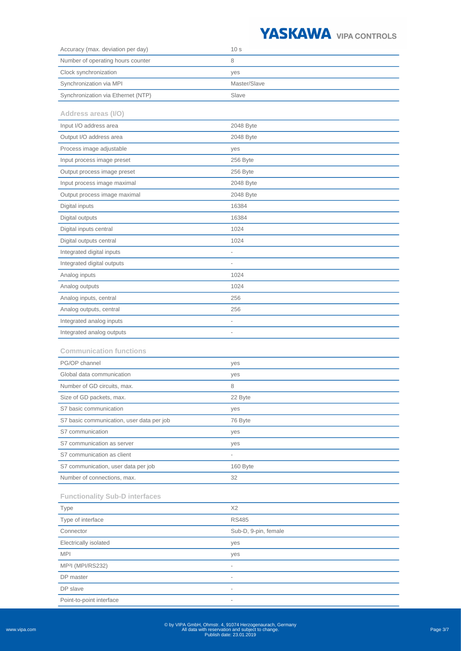## YASKAWA VIPA CONTROLS

| Accuracy (max. deviation per day)         | 10 <sub>s</sub>          |
|-------------------------------------------|--------------------------|
| Number of operating hours counter         | 8                        |
| Clock synchronization                     | yes                      |
| Synchronization via MPI                   | Master/Slave             |
| Synchronization via Ethernet (NTP)        | Slave                    |
| Address areas (I/O)                       |                          |
| Input I/O address area                    | 2048 Byte                |
| Output I/O address area                   | 2048 Byte                |
| Process image adjustable                  | yes                      |
| Input process image preset                | 256 Byte                 |
| Output process image preset               | 256 Byte                 |
| Input process image maximal               | 2048 Byte                |
| Output process image maximal              | 2048 Byte                |
| Digital inputs                            | 16384                    |
| Digital outputs                           | 16384                    |
| Digital inputs central                    | 1024                     |
| Digital outputs central                   | 1024                     |
| Integrated digital inputs                 |                          |
| Integrated digital outputs                | $\overline{\phantom{a}}$ |
| Analog inputs                             | 1024                     |
| Analog outputs                            | 1024                     |
| Analog inputs, central                    | 256                      |
| Analog outputs, central                   | 256                      |
| Integrated analog inputs                  |                          |
| Integrated analog outputs                 | $\overline{\phantom{a}}$ |
| <b>Communication functions</b>            |                          |
| PG/OP channel                             | yes                      |
| Global data communication                 | yes                      |
| Number of GD circuits, max.               | 8                        |
| Size of GD packets, max.                  | 22 Byte                  |
| S7 basic communication                    | yes                      |
| S7 basic communication, user data per job | 76 Byte                  |
| S7 communication                          | yes                      |
| S7 communication as server                | yes                      |
| S7 communication as client                |                          |
| S7 communication, user data per job       | 160 Byte                 |
| Number of connections, max.               | 32                       |
| <b>Functionality Sub-D interfaces</b>     |                          |
| Type                                      | X <sub>2</sub>           |
| Type of interface                         | <b>RS485</b>             |
| Connector                                 | Sub-D, 9-pin, female     |
| Electrically isolated                     | yes                      |
| <b>MPI</b>                                | yes                      |
| MP <sup>2</sup> l (MPI/RS232)             |                          |
| DP master                                 |                          |
| DP slave                                  |                          |
| Point-to-point interface                  |                          |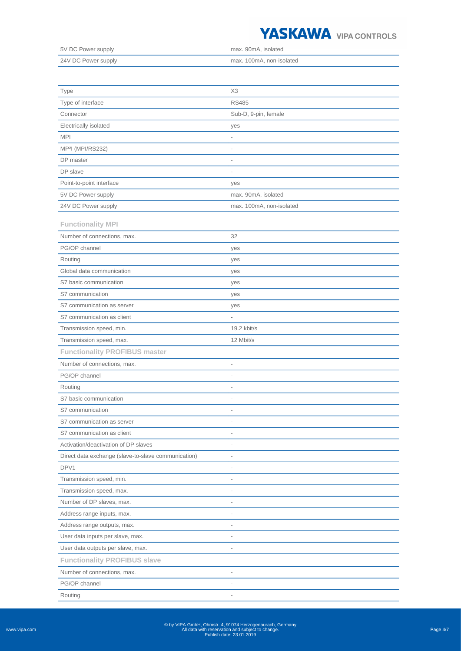

| 5V DC Power supply  | max. 90mA. isolated      |
|---------------------|--------------------------|
| 24V DC Power supply | max. 100mA. non-isolated |

| Type                                                | X <sub>3</sub>           |
|-----------------------------------------------------|--------------------------|
| Type of interface                                   | <b>RS485</b>             |
| Connector                                           | Sub-D, 9-pin, female     |
| Electrically isolated                               | yes                      |
| <b>MPI</b>                                          | $\overline{a}$           |
| MP <sup>2</sup> l (MPI/RS232)                       | $\overline{\phantom{0}}$ |
| DP master                                           | $\overline{a}$           |
| DP slave                                            | $\overline{a}$           |
| Point-to-point interface                            | yes                      |
| 5V DC Power supply                                  | max. 90mA, isolated      |
| 24V DC Power supply                                 | max. 100mA, non-isolated |
| <b>Functionality MPI</b>                            |                          |
| Number of connections, max.                         | 32                       |
| PG/OP channel                                       | yes                      |
| Routing                                             | yes                      |
| Global data communication                           | yes                      |
| S7 basic communication                              | yes                      |
| S7 communication                                    | yes                      |
| S7 communication as server                          | yes                      |
| S7 communication as client                          | $\overline{\phantom{a}}$ |
| Transmission speed, min.                            | 19.2 kbit/s              |
| Transmission speed, max.                            | 12 Mbit/s                |
| <b>Functionality PROFIBUS master</b>                |                          |
| Number of connections, max.                         | $\overline{\phantom{0}}$ |
| PG/OP channel                                       | $\overline{a}$           |
| Routing                                             | $\overline{\phantom{0}}$ |
| S7 basic communication                              | $\overline{\phantom{0}}$ |
| S7 communication                                    | $\overline{\phantom{0}}$ |
| S7 communication as server                          | $\overline{a}$           |
| S7 communication as client                          |                          |
| Activation/deactivation of DP slaves                | $\overline{a}$           |
| Direct data exchange (slave-to-slave communication) | $\overline{a}$           |
| DPV1                                                |                          |
| Transmission speed, min.                            |                          |
| Transmission speed, max.                            |                          |
| Number of DP slaves, max.                           |                          |
| Address range inputs, max.                          |                          |
| Address range outputs, max.                         |                          |
| User data inputs per slave, max.                    | $\overline{\phantom{a}}$ |
| User data outputs per slave, max.                   | $\overline{\phantom{a}}$ |
| <b>Functionality PROFIBUS slave</b>                 |                          |
| Number of connections, max.                         | $\overline{a}$           |
| PG/OP channel                                       | $\overline{\phantom{a}}$ |
| Routing                                             |                          |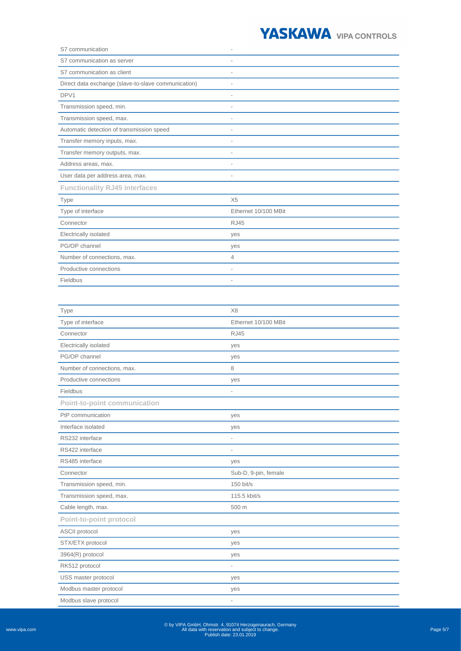

| S7 communication                                    |                              |
|-----------------------------------------------------|------------------------------|
| S7 communication as server                          |                              |
| S7 communication as client                          |                              |
| Direct data exchange (slave-to-slave communication) |                              |
| DPV1                                                |                              |
| Transmission speed, min.                            |                              |
| Transmission speed, max.                            |                              |
| Automatic detection of transmission speed           | $\qquad \qquad \blacksquare$ |
| Transfer memory inputs, max.                        |                              |
| Transfer memory outputs, max.                       |                              |
| Address areas, max.                                 |                              |
| User data per address area, max.                    | $\qquad \qquad \blacksquare$ |
| <b>Functionality RJ45 interfaces</b>                |                              |
| Type                                                | X5                           |
| Type of interface                                   | Ethernet 10/100 MBit         |
| Connector                                           | <b>RJ45</b>                  |
| Electrically isolated                               | yes                          |
| PG/OP channel                                       | yes                          |
| Number of connections, max.                         | 4                            |
| Productive connections                              | $\qquad \qquad \blacksquare$ |
| Fieldbus                                            | $\qquad \qquad \blacksquare$ |

| Type                                | X8                       |
|-------------------------------------|--------------------------|
| Type of interface                   | Ethernet 10/100 MBit     |
| Connector                           | <b>RJ45</b>              |
| Electrically isolated               | yes                      |
| PG/OP channel                       | yes                      |
| Number of connections, max.         | 8                        |
| Productive connections              | yes                      |
| Fieldbus                            | $\overline{\phantom{a}}$ |
| <b>Point-to-point communication</b> |                          |
| PtP communication                   | yes                      |
| Interface isolated                  | yes                      |
| RS232 interface                     | $\overline{a}$           |
| RS422 interface                     | $\overline{a}$           |
| RS485 interface                     | yes                      |
| Connector                           | Sub-D, 9-pin, female     |
| Transmission speed, min.            | 150 bit/s                |
| Transmission speed, max.            | 115.5 kbit/s             |
| Cable length, max.                  | 500 m                    |
| Point-to-point protocol             |                          |
| ASCII protocol                      | yes                      |
| STX/ETX protocol                    | yes                      |
| 3964(R) protocol                    | yes                      |
| RK512 protocol                      | $\overline{\phantom{a}}$ |
| USS master protocol                 | yes                      |
| Modbus master protocol              | yes                      |
| Modbus slave protocol               | $\overline{\phantom{a}}$ |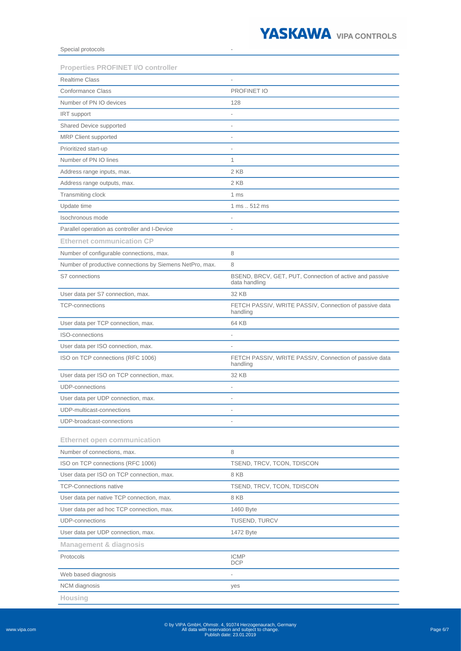

Special protocols

| <b>Realtime Class</b><br><b>Conformance Class</b><br>PROFINET IO<br>Number of PN IO devices<br>128<br>IRT support<br>ä,<br>Shared Device supported<br>$\overline{a}$<br>MRP Client supported<br>Prioritized start-up<br>$\overline{a}$<br>Number of PN IO lines<br>$\mathbf{1}$<br>Address range inputs, max.<br>2 KB<br>2 KB<br>Address range outputs, max.<br>Transmiting clock<br>1 ms<br>1 ms  512 ms<br>Update time<br>Isochronous mode<br>÷,<br>Parallel operation as controller and I-Device<br>L,<br><b>Ethernet communication CP</b><br>Number of configurable connections, max.<br>8<br>Number of productive connections by Siemens NetPro, max.<br>8<br>S7 connections<br>BSEND, BRCV, GET, PUT, Connection of active and passive<br>data handling<br>32 KB<br>User data per S7 connection, max. |
|-------------------------------------------------------------------------------------------------------------------------------------------------------------------------------------------------------------------------------------------------------------------------------------------------------------------------------------------------------------------------------------------------------------------------------------------------------------------------------------------------------------------------------------------------------------------------------------------------------------------------------------------------------------------------------------------------------------------------------------------------------------------------------------------------------------|
|                                                                                                                                                                                                                                                                                                                                                                                                                                                                                                                                                                                                                                                                                                                                                                                                             |
|                                                                                                                                                                                                                                                                                                                                                                                                                                                                                                                                                                                                                                                                                                                                                                                                             |
|                                                                                                                                                                                                                                                                                                                                                                                                                                                                                                                                                                                                                                                                                                                                                                                                             |
|                                                                                                                                                                                                                                                                                                                                                                                                                                                                                                                                                                                                                                                                                                                                                                                                             |
|                                                                                                                                                                                                                                                                                                                                                                                                                                                                                                                                                                                                                                                                                                                                                                                                             |
|                                                                                                                                                                                                                                                                                                                                                                                                                                                                                                                                                                                                                                                                                                                                                                                                             |
|                                                                                                                                                                                                                                                                                                                                                                                                                                                                                                                                                                                                                                                                                                                                                                                                             |
|                                                                                                                                                                                                                                                                                                                                                                                                                                                                                                                                                                                                                                                                                                                                                                                                             |
|                                                                                                                                                                                                                                                                                                                                                                                                                                                                                                                                                                                                                                                                                                                                                                                                             |
|                                                                                                                                                                                                                                                                                                                                                                                                                                                                                                                                                                                                                                                                                                                                                                                                             |
|                                                                                                                                                                                                                                                                                                                                                                                                                                                                                                                                                                                                                                                                                                                                                                                                             |
|                                                                                                                                                                                                                                                                                                                                                                                                                                                                                                                                                                                                                                                                                                                                                                                                             |
|                                                                                                                                                                                                                                                                                                                                                                                                                                                                                                                                                                                                                                                                                                                                                                                                             |
|                                                                                                                                                                                                                                                                                                                                                                                                                                                                                                                                                                                                                                                                                                                                                                                                             |
|                                                                                                                                                                                                                                                                                                                                                                                                                                                                                                                                                                                                                                                                                                                                                                                                             |
|                                                                                                                                                                                                                                                                                                                                                                                                                                                                                                                                                                                                                                                                                                                                                                                                             |
|                                                                                                                                                                                                                                                                                                                                                                                                                                                                                                                                                                                                                                                                                                                                                                                                             |
|                                                                                                                                                                                                                                                                                                                                                                                                                                                                                                                                                                                                                                                                                                                                                                                                             |
|                                                                                                                                                                                                                                                                                                                                                                                                                                                                                                                                                                                                                                                                                                                                                                                                             |
| FETCH PASSIV, WRITE PASSIV, Connection of passive data<br><b>TCP-connections</b><br>handling                                                                                                                                                                                                                                                                                                                                                                                                                                                                                                                                                                                                                                                                                                                |
| User data per TCP connection, max.<br>64 KB                                                                                                                                                                                                                                                                                                                                                                                                                                                                                                                                                                                                                                                                                                                                                                 |
| <b>ISO-connections</b>                                                                                                                                                                                                                                                                                                                                                                                                                                                                                                                                                                                                                                                                                                                                                                                      |
| User data per ISO connection, max.<br>$\overline{a}$                                                                                                                                                                                                                                                                                                                                                                                                                                                                                                                                                                                                                                                                                                                                                        |
| ISO on TCP connections (RFC 1006)<br>FETCH PASSIV, WRITE PASSIV, Connection of passive data<br>handling                                                                                                                                                                                                                                                                                                                                                                                                                                                                                                                                                                                                                                                                                                     |
| User data per ISO on TCP connection, max.<br>32 KB                                                                                                                                                                                                                                                                                                                                                                                                                                                                                                                                                                                                                                                                                                                                                          |
| <b>UDP-connections</b><br>$\overline{a}$                                                                                                                                                                                                                                                                                                                                                                                                                                                                                                                                                                                                                                                                                                                                                                    |
| User data per UDP connection, max.                                                                                                                                                                                                                                                                                                                                                                                                                                                                                                                                                                                                                                                                                                                                                                          |
| UDP-multicast-connections                                                                                                                                                                                                                                                                                                                                                                                                                                                                                                                                                                                                                                                                                                                                                                                   |
| UDP-broadcast-connections                                                                                                                                                                                                                                                                                                                                                                                                                                                                                                                                                                                                                                                                                                                                                                                   |
| <b>Ethernet open communication</b>                                                                                                                                                                                                                                                                                                                                                                                                                                                                                                                                                                                                                                                                                                                                                                          |
| 8<br>Number of connections, max.                                                                                                                                                                                                                                                                                                                                                                                                                                                                                                                                                                                                                                                                                                                                                                            |
| ISO on TCP connections (RFC 1006)<br>TSEND, TRCV, TCON, TDISCON                                                                                                                                                                                                                                                                                                                                                                                                                                                                                                                                                                                                                                                                                                                                             |
| 8 KB<br>User data per ISO on TCP connection, max.                                                                                                                                                                                                                                                                                                                                                                                                                                                                                                                                                                                                                                                                                                                                                           |
| <b>TCP-Connections native</b><br>TSEND, TRCV, TCON, TDISCON                                                                                                                                                                                                                                                                                                                                                                                                                                                                                                                                                                                                                                                                                                                                                 |
| User data per native TCP connection, max.<br>8 KB                                                                                                                                                                                                                                                                                                                                                                                                                                                                                                                                                                                                                                                                                                                                                           |
| User data per ad hoc TCP connection, max.<br>1460 Byte                                                                                                                                                                                                                                                                                                                                                                                                                                                                                                                                                                                                                                                                                                                                                      |
| <b>UDP-connections</b><br>TUSEND, TURCV                                                                                                                                                                                                                                                                                                                                                                                                                                                                                                                                                                                                                                                                                                                                                                     |
| User data per UDP connection, max.<br>1472 Byte                                                                                                                                                                                                                                                                                                                                                                                                                                                                                                                                                                                                                                                                                                                                                             |
| Management & diagnosis                                                                                                                                                                                                                                                                                                                                                                                                                                                                                                                                                                                                                                                                                                                                                                                      |
| Protocols<br><b>ICMP</b><br><b>DCP</b>                                                                                                                                                                                                                                                                                                                                                                                                                                                                                                                                                                                                                                                                                                                                                                      |
| Web based diagnosis                                                                                                                                                                                                                                                                                                                                                                                                                                                                                                                                                                                                                                                                                                                                                                                         |
| NCM diagnosis<br>yes                                                                                                                                                                                                                                                                                                                                                                                                                                                                                                                                                                                                                                                                                                                                                                                        |

**Housing**